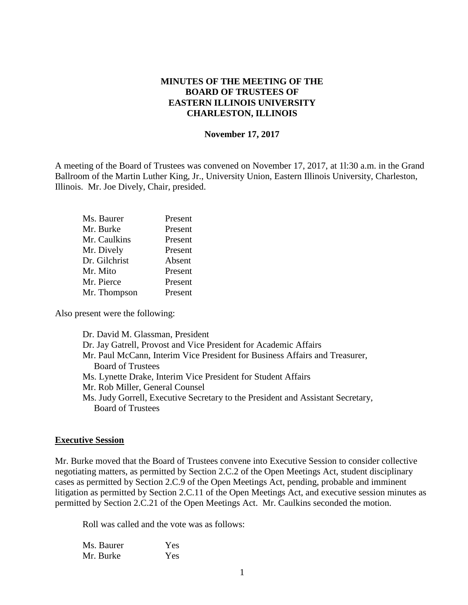## **MINUTES OF THE MEETING OF THE BOARD OF TRUSTEES OF EASTERN ILLINOIS UNIVERSITY CHARLESTON, ILLINOIS**

#### **November 17, 2017**

A meeting of the Board of Trustees was convened on November 17, 2017, at 1l:30 a.m. in the Grand Ballroom of the Martin Luther King, Jr., University Union, Eastern Illinois University, Charleston, Illinois. Mr. Joe Dively, Chair, presided.

| Ms. Baurer    | Present |
|---------------|---------|
| Mr. Burke     | Present |
| Mr. Caulkins  | Present |
| Mr. Dively    | Present |
| Dr. Gilchrist | Absent  |
| Mr. Mito      | Present |
| Mr. Pierce    | Present |
| Mr. Thompson  | Present |

Also present were the following:

Dr. David M. Glassman, President Dr. Jay Gatrell, Provost and Vice President for Academic Affairs Mr. Paul McCann, Interim Vice President for Business Affairs and Treasurer, Board of Trustees Ms. Lynette Drake, Interim Vice President for Student Affairs Mr. Rob Miller, General Counsel Ms. Judy Gorrell, Executive Secretary to the President and Assistant Secretary, Board of Trustees

#### **Executive Session**

Mr. Burke moved that the Board of Trustees convene into Executive Session to consider collective negotiating matters, as permitted by Section 2.C.2 of the Open Meetings Act, student disciplinary cases as permitted by Section 2.C.9 of the Open Meetings Act, pending, probable and imminent litigation as permitted by Section 2.C.11 of the Open Meetings Act, and executive session minutes as permitted by Section 2.C.21 of the Open Meetings Act. Mr. Caulkins seconded the motion.

Roll was called and the vote was as follows:

| Ms. Baurer | Yes |
|------------|-----|
| Mr. Burke  | Yes |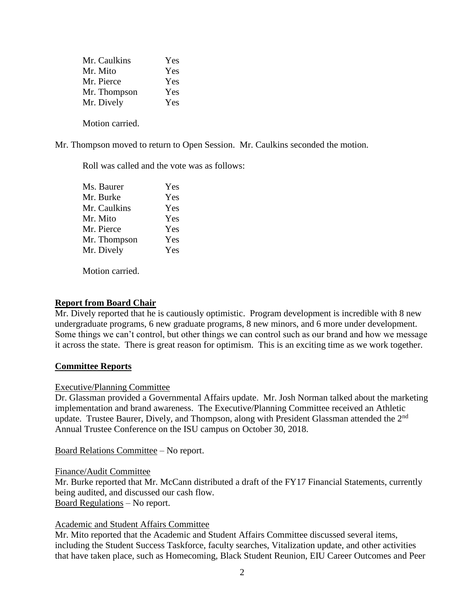| Mr. Caulkins | Yes |
|--------------|-----|
| Mr. Mito     | Yes |
| Mr. Pierce   | Yes |
| Mr. Thompson | Yes |
| Mr. Dively   | Yes |
|              |     |

Motion carried.

Mr. Thompson moved to return to Open Session. Mr. Caulkins seconded the motion.

Roll was called and the vote was as follows:

| Ms. Baurer   | Yes |
|--------------|-----|
| Mr. Burke    | Yes |
| Mr. Caulkins | Yes |
| Mr. Mito     | Yes |
| Mr. Pierce   | Yes |
| Mr. Thompson | Yes |
| Mr. Dively   | Yes |
|              |     |

Motion carried.

#### **Report from Board Chair**

Mr. Dively reported that he is cautiously optimistic. Program development is incredible with 8 new undergraduate programs, 6 new graduate programs, 8 new minors, and 6 more under development. Some things we can't control, but other things we can control such as our brand and how we message it across the state. There is great reason for optimism. This is an exciting time as we work together.

#### **Committee Reports**

#### Executive/Planning Committee

Dr. Glassman provided a Governmental Affairs update. Mr. Josh Norman talked about the marketing implementation and brand awareness. The Executive/Planning Committee received an Athletic update. Trustee Baurer, Dively, and Thompson, along with President Glassman attended the  $2<sup>nd</sup>$ Annual Trustee Conference on the ISU campus on October 30, 2018.

Board Relations Committee – No report.

#### Finance/Audit Committee

Mr. Burke reported that Mr. McCann distributed a draft of the FY17 Financial Statements, currently being audited, and discussed our cash flow. Board Regulations – No report.

### Academic and Student Affairs Committee

Mr. Mito reported that the Academic and Student Affairs Committee discussed several items, including the Student Success Taskforce, faculty searches, Vitalization update, and other activities that have taken place, such as Homecoming, Black Student Reunion, EIU Career Outcomes and Peer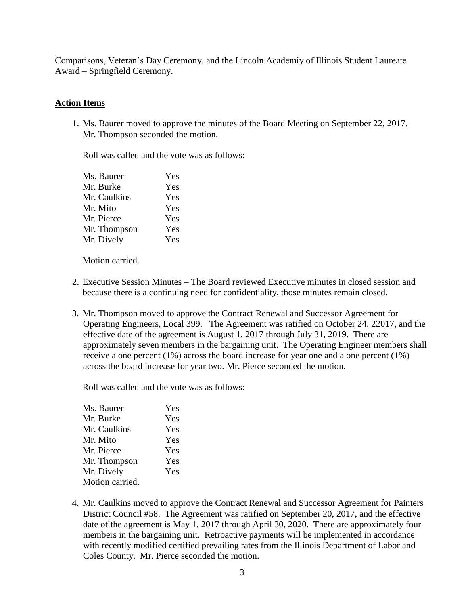Comparisons, Veteran's Day Ceremony, and the Lincoln Academiy of Illinois Student Laureate Award – Springfield Ceremony.

## **Action Items**

1. Ms. Baurer moved to approve the minutes of the Board Meeting on September 22, 2017. Mr. Thompson seconded the motion.

Roll was called and the vote was as follows:

| Ms. Baurer   | Yes |
|--------------|-----|
| Mr. Burke    | Yes |
| Mr. Caulkins | Yes |
| Mr. Mito     | Yes |
| Mr. Pierce   | Yes |
| Mr. Thompson | Yes |
| Mr. Dively   | Yes |

Motion carried.

- 2. Executive Session Minutes The Board reviewed Executive minutes in closed session and because there is a continuing need for confidentiality, those minutes remain closed.
- 3. Mr. Thompson moved to approve the Contract Renewal and Successor Agreement for Operating Engineers, Local 399. The Agreement was ratified on October 24, 22017, and the effective date of the agreement is August 1, 2017 through July 31, 2019. There are approximately seven members in the bargaining unit. The Operating Engineer members shall receive a one percent (1%) across the board increase for year one and a one percent (1%) across the board increase for year two. Mr. Pierce seconded the motion.

Roll was called and the vote was as follows:

| Ms. Baurer      | Yes |
|-----------------|-----|
| Mr. Burke       | Yes |
| Mr. Caulkins    | Yes |
| Mr. Mito        | Yes |
| Mr. Pierce      | Yes |
| Mr. Thompson    | Yes |
| Mr. Dively      | Yes |
| Motion carried. |     |
|                 |     |

4. Mr. Caulkins moved to approve the Contract Renewal and Successor Agreement for Painters District Council #58. The Agreement was ratified on September 20, 2017, and the effective date of the agreement is May 1, 2017 through April 30, 2020. There are approximately four members in the bargaining unit. Retroactive payments will be implemented in accordance with recently modified certified prevailing rates from the Illinois Department of Labor and Coles County. Mr. Pierce seconded the motion.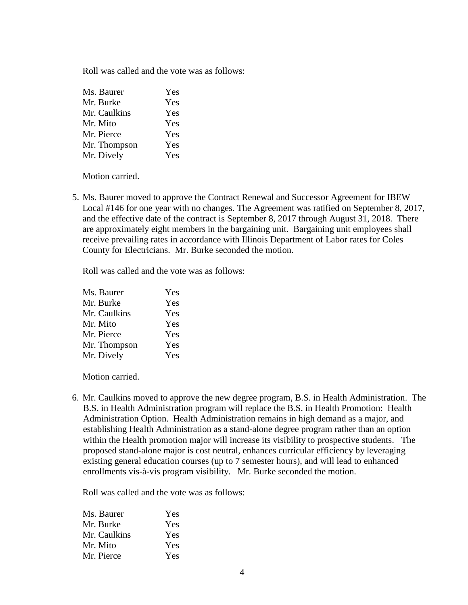Roll was called and the vote was as follows:

| Ms. Baurer   | Yes |
|--------------|-----|
| Mr. Burke    | Yes |
| Mr. Caulkins | Yes |
| Mr. Mito     | Yes |
| Mr. Pierce   | Yes |
| Mr. Thompson | Yes |
| Mr. Dively   | Yes |

Motion carried.

5. Ms. Baurer moved to approve the Contract Renewal and Successor Agreement for IBEW Local #146 for one year with no changes. The Agreement was ratified on September 8, 2017, and the effective date of the contract is September 8, 2017 through August 31, 2018. There are approximately eight members in the bargaining unit. Bargaining unit employees shall receive prevailing rates in accordance with Illinois Department of Labor rates for Coles County for Electricians. Mr. Burke seconded the motion.

Roll was called and the vote was as follows:

| Ms. Baurer   | Yes |
|--------------|-----|
| Mr. Burke    | Yes |
| Mr. Caulkins | Yes |
| Mr. Mito     | Yes |
| Mr. Pierce   | Yes |
| Mr. Thompson | Yes |
| Mr. Dively   | Yes |

Motion carried.

6. Mr. Caulkins moved to approve the new degree program, B.S. in Health Administration. The B.S. in Health Administration program will replace the B.S. in Health Promotion: Health Administration Option. Health Administration remains in high demand as a major, and establishing Health Administration as a stand-alone degree program rather than an option within the Health promotion major will increase its visibility to prospective students. The proposed stand-alone major is cost neutral, enhances curricular efficiency by leveraging existing general education courses (up to 7 semester hours), and will lead to enhanced enrollments vis-à-vis program visibility. Mr. Burke seconded the motion.

Roll was called and the vote was as follows:

| Ms. Baurer   | Yes        |
|--------------|------------|
| Mr. Burke    | <b>Yes</b> |
| Mr. Caulkins | Yes        |
| Mr. Mito     | Yes        |
| Mr. Pierce   | Yes        |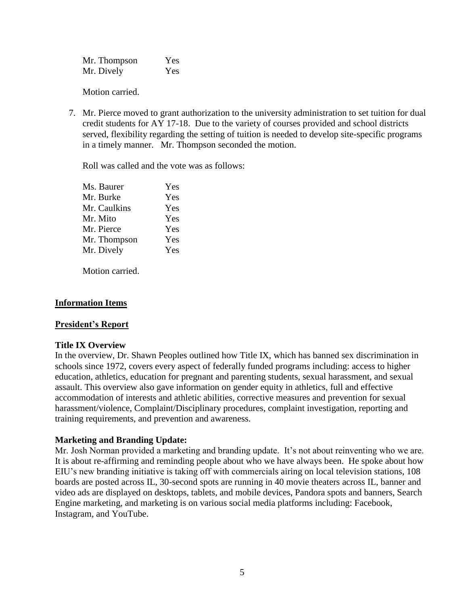Mr. Thompson Yes Mr. Dively Yes

Motion carried.

7. Mr. Pierce moved to grant authorization to the university administration to set tuition for dual credit students for AY 17-18. Due to the variety of courses provided and school districts served, flexibility regarding the setting of tuition is needed to develop site-specific programs in a timely manner. Mr. Thompson seconded the motion.

Roll was called and the vote was as follows:

| Ms. Baurer   | Yes |
|--------------|-----|
| Mr. Burke    | Yes |
| Mr. Caulkins | Yes |
| Mr. Mito     | Yes |
| Mr. Pierce   | Yes |
| Mr. Thompson | Yes |
| Mr. Dively   | Yes |
|              |     |

Motion carried.

# **Information Items**

### **President's Report**

### **Title IX Overview**

In the overview, Dr. Shawn Peoples outlined how Title IX, which has banned sex discrimination in schools since 1972, covers every aspect of federally funded programs including: access to higher education, athletics, education for pregnant and parenting students, sexual harassment, and sexual assault. This overview also gave information on gender equity in athletics, full and effective accommodation of interests and athletic abilities, corrective measures and prevention for sexual harassment/violence, Complaint/Disciplinary procedures, complaint investigation, reporting and training requirements, and prevention and awareness.

# **Marketing and Branding Update:**

Mr. Josh Norman provided a marketing and branding update. It's not about reinventing who we are. It is about re-affirming and reminding people about who we have always been. He spoke about how EIU's new branding initiative is taking off with commercials airing on local television stations, 108 boards are posted across IL, 30-second spots are running in 40 movie theaters across IL, banner and video ads are displayed on desktops, tablets, and mobile devices, Pandora spots and banners, Search Engine marketing, and marketing is on various social media platforms including: Facebook, Instagram, and YouTube.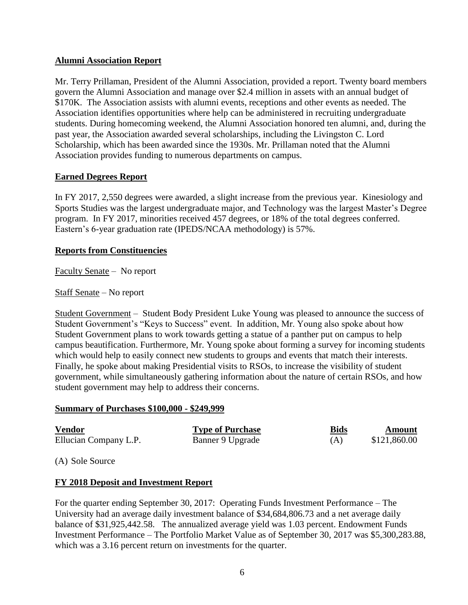## **Alumni Association Report**

Mr. Terry Prillaman, President of the Alumni Association, provided a report. Twenty board members govern the Alumni Association and manage over \$2.4 million in assets with an annual budget of \$170K. The Association assists with alumni events, receptions and other events as needed. The Association identifies opportunities where help can be administered in recruiting undergraduate students. During homecoming weekend, the Alumni Association honored ten alumni, and, during the past year, the Association awarded several scholarships, including the Livingston C. Lord Scholarship, which has been awarded since the 1930s. Mr. Prillaman noted that the Alumni Association provides funding to numerous departments on campus.

## **Earned Degrees Report**

In FY 2017, 2,550 degrees were awarded, a slight increase from the previous year. Kinesiology and Sports Studies was the largest undergraduate major, and Technology was the largest Master's Degree program. In FY 2017, minorities received 457 degrees, or 18% of the total degrees conferred. Eastern's 6-year graduation rate (IPEDS/NCAA methodology) is 57%.

## **Reports from Constituencies**

Faculty Senate – No report

Staff Senate – No report

Student Government – Student Body President Luke Young was pleased to announce the success of Student Government's "Keys to Success" event. In addition, Mr. Young also spoke about how Student Government plans to work towards getting a statue of a panther put on campus to help campus beautification. Furthermore, Mr. Young spoke about forming a survey for incoming students which would help to easily connect new students to groups and events that match their interests. Finally, he spoke about making Presidential visits to RSOs, to increase the visibility of student government, while simultaneously gathering information about the nature of certain RSOs, and how student government may help to address their concerns.

### **Summary of Purchases \$100,000 - \$249,999**

| <b>Vendor</b>         | <b>Type of Purchase</b> | <b>Bids</b> | Amount       |
|-----------------------|-------------------------|-------------|--------------|
| Ellucian Company L.P. | Banner 9 Upgrade        | (A)         | \$121,860.00 |

(A) Sole Source

### **FY 2018 Deposit and Investment Report**

For the quarter ending September 30, 2017: Operating Funds Investment Performance – The University had an average daily investment balance of \$34,684,806.73 and a net average daily balance of \$31,925,442.58. The annualized average yield was 1.03 percent. Endowment Funds Investment Performance – The Portfolio Market Value as of September 30, 2017 was \$5,300,283.88, which was a 3.16 percent return on investments for the quarter.